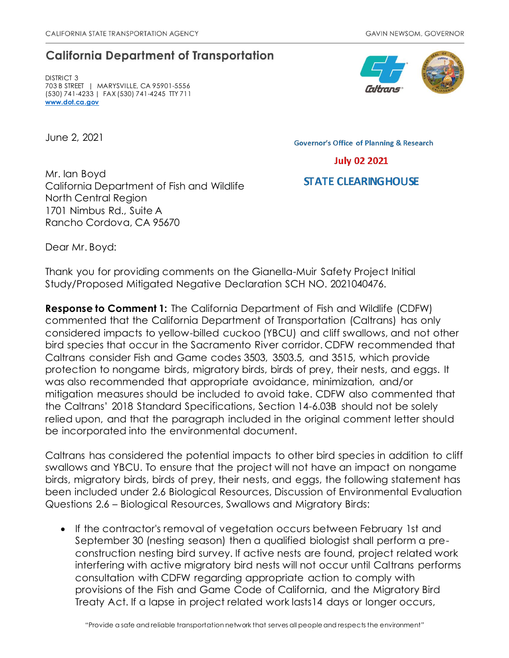## **California Department of Transportation**

DISTRICT 3 703 B STREET | MARYSVILLE, CA 95901-5556 (530) 741-4233 | FAX (530) 741-4245 TTY 711 **[www.dot.ca.gov](http://www.dot.ca.gov/)**

June 2, 2021

**Governor's Office of Planning & Research** 



## **STATE CLEARING HOUSE**

Mr. Ian Boyd California Department of Fish and Wildlife North Central Region 1701 Nimbus Rd., Suite A Rancho Cordova, CA 95670

Dear Mr. Boyd:

Thank you for providing comments on the Gianella-Muir Safety Project Initial Study/Proposed Mitigated Negative Declaration SCH NO. 2021040476.

**Response to Comment 1:** The California Department of Fish and Wildlife (CDFW) commented that the California Department of Transportation (Caltrans) has only considered impacts to yellow-billed cuckoo (YBCU) and cliff swallows, and not other bird species that occur in the Sacramento River corridor. CDFW recommended that Caltrans consider Fish and Game codes 3503, 3503.5, and 3515, which provide protection to nongame birds, migratory birds, birds of prey, their nests, and eggs. It was also recommended that appropriate avoidance, minimization, and/or mitigation measures should be included to avoid take. CDFW also commented that the Caltrans' 2018 Standard Specifications, Section 14-6.03B should not be solely relied upon, and that the paragraph included in the original comment letter should be incorporated into the environmental document.

Caltrans has considered the potential impacts to other bird species in addition to cliff swallows and YBCU. To ensure that the project will not have an impact on nongame birds, migratory birds, birds of prey, their nests, and eggs, the following statement has been included under 2.6 Biological Resources, Discussion of Environmental Evaluation Questions 2.6 – Biological Resources, Swallows and Migratory Birds:

• If the contractor's removal of vegetation occurs between February 1st and September 30 (nesting season) then a qualified biologist shall perform a preconstruction nesting bird survey. If active nests are found, project related work interfering with active migratory bird nests will not occur until Caltrans performs consultation with CDFW regarding appropriate action to comply with provisions of the Fish and Game Code of California, and the Migratory Bird Treaty Act. If a lapse in project related work lasts14 days or longer occurs,

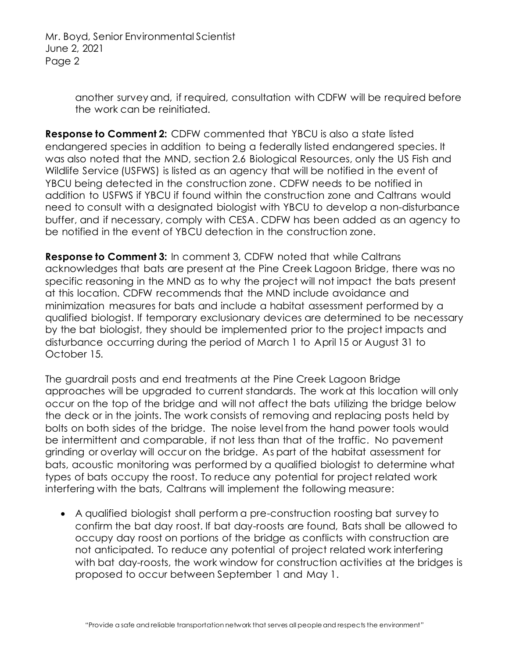> another survey and, if required, consultation with CDFW will be required before the work can be reinitiated.

**Response to Comment 2:** CDFW commented that YBCU is also a state listed endangered species in addition to being a federally listed endangered species. It was also noted that the MND, section 2.6 Biological Resources, only the US Fish and Wildlife Service (USFWS) is listed as an agency that will be notified in the event of YBCU being detected in the construction zone. CDFW needs to be notified in addition to USFWS if YBCU if found within the construction zone and Caltrans would need to consult with a designated biologist with YBCU to develop a non-disturbance buffer, and if necessary, comply with CESA. CDFW has been added as an agency to be notified in the event of YBCU detection in the construction zone.

**Response to Comment 3:** In comment 3, CDFW noted that while Caltrans acknowledges that bats are present at the Pine Creek Lagoon Bridge, there was no specific reasoning in the MND as to why the project will not impact the bats present at this location. CDFW recommends that the MND include avoidance and minimization measures for bats and include a habitat assessment performed by a qualified biologist. If temporary exclusionary devices are determined to be necessary by the bat biologist, they should be implemented prior to the project impacts and disturbance occurring during the period of March 1 to April 15 or August 31 to October 15.

The guardrail posts and end treatments at the Pine Creek Lagoon Bridge approaches will be upgraded to current standards. The work at this location will only occur on the top of the bridge and will not affect the bats utilizing the bridge below the deck or in the joints. The work consists of removing and replacing posts held by bolts on both sides of the bridge. The noise level from the hand power tools would be intermittent and comparable, if not less than that of the traffic. No pavement grinding or overlay will occur on the bridge. As part of the habitat assessment for bats, acoustic monitoring was performed by a qualified biologist to determine what types of bats occupy the roost. To reduce any potential for project related work interfering with the bats, Caltrans will implement the following measure:

• A qualified biologist shall perform a pre-construction roosting bat survey to confirm the bat day roost. If bat day-roosts are found, Bats shall be allowed to occupy day roost on portions of the bridge as conflicts with construction are not anticipated. To reduce any potential of project related work interfering with bat day-roosts, the work window for construction activities at the bridges is proposed to occur between September 1 and May 1.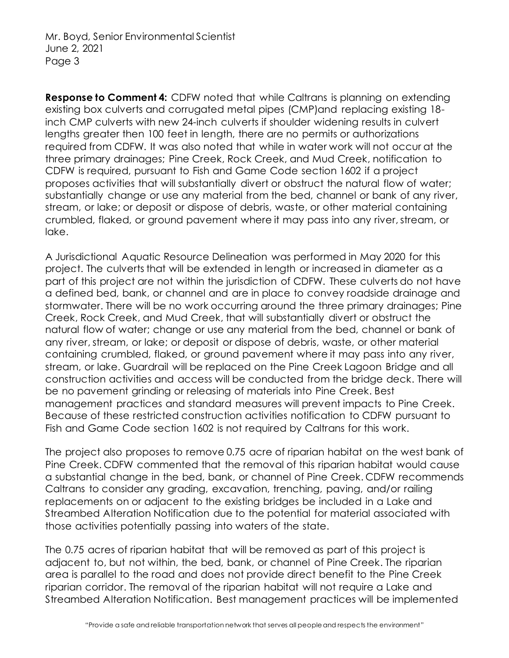**Response to Comment 4:** CDFW noted that while Caltrans is planning on extending existing box culverts and corrugated metal pipes (CMP)and replacing existing 18 inch CMP culverts with new 24-inch culverts if shoulder widening results in culvert lengths greater then 100 feet in length, there are no permits or authorizations required from CDFW. It was also noted that while in water work will not occur at the three primary drainages; Pine Creek, Rock Creek, and Mud Creek, notification to CDFW is required, pursuant to Fish and Game Code section 1602 if a project proposes activities that will substantially divert or obstruct the natural flow of water; substantially change or use any material from the bed, channel or bank of any river, stream, or lake; or deposit or dispose of debris, waste, or other material containing crumbled, flaked, or ground pavement where it may pass into any river, stream, or lake.

A Jurisdictional Aquatic Resource Delineation was performed in May 2020 for this project. The culverts that will be extended in length or increased in diameter as a part of this project are not within the jurisdiction of CDFW. These culverts do not have a defined bed, bank, or channel and are in place to convey roadside drainage and stormwater. There will be no work occurring around the three primary drainages; Pine Creek, Rock Creek, and Mud Creek, that will substantially divert or obstruct the natural flow of water; change or use any material from the bed, channel or bank of any river, stream, or lake; or deposit or dispose of debris, waste, or other material containing crumbled, flaked, or ground pavement where it may pass into any river, stream, or lake. Guardrail will be replaced on the Pine Creek Lagoon Bridge and all construction activities and access will be conducted from the bridge deck. There will be no pavement grinding or releasing of materials into Pine Creek. Best management practices and standard measures will prevent impacts to Pine Creek. Because of these restricted construction activities notification to CDFW pursuant to Fish and Game Code section 1602 is not required by Caltrans for this work.

The project also proposes to remove 0.75 acre of riparian habitat on the west bank of Pine Creek. CDFW commented that the removal of this riparian habitat would cause a substantial change in the bed, bank, or channel of Pine Creek. CDFW recommends Caltrans to consider any grading, excavation, trenching, paving, and/or railing replacements on or adjacent to the existing bridges be included in a Lake and Streambed Alteration Notification due to the potential for material associated with those activities potentially passing into waters of the state.

The 0.75 acres of riparian habitat that will be removed as part of this project is adjacent to, but not within, the bed, bank, or channel of Pine Creek. The riparian area is parallel to the road and does not provide direct benefit to the Pine Creek riparian corridor. The removal of the riparian habitat will not require a Lake and Streambed Alteration Notification. Best management practices will be implemented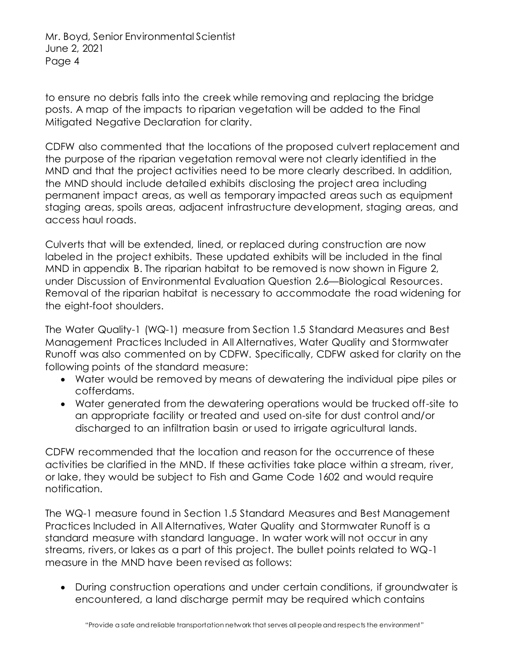to ensure no debris falls into the creek while removing and replacing the bridge posts. A map of the impacts to riparian vegetation will be added to the Final Mitigated Negative Declaration for clarity.

CDFW also commented that the locations of the proposed culvert replacement and the purpose of the riparian vegetation removal were not clearly identified in the MND and that the project activities need to be more clearly described. In addition, the MND should include detailed exhibits disclosing the project area including permanent impact areas, as well as temporary impacted areas such as equipment staging areas, spoils areas, adjacent infrastructure development, staging areas, and access haul roads.

Culverts that will be extended, lined, or replaced during construction are now labeled in the project exhibits. These updated exhibits will be included in the final MND in appendix B. The riparian habitat to be removed is now shown in Figure 2, under Discussion of Environmental Evaluation Question 2.6—Biological Resources. Removal of the riparian habitat is necessary to accommodate the road widening for the eight-foot shoulders.

The Water Quality-1 (WQ-1) measure from Section 1.5 Standard Measures and Best Management Practices Included in All Alternatives, Water Quality and Stormwater Runoff was also commented on by CDFW. Specifically, CDFW asked for clarity on the following points of the standard measure:

- Water would be removed by means of dewatering the individual pipe piles or cofferdams.
- Water generated from the dewatering operations would be trucked off-site to an appropriate facility or treated and used on-site for dust control and/or discharged to an infiltration basin or used to irrigate agricultural lands.

CDFW recommended that the location and reason for the occurrence of these activities be clarified in the MND. If these activities take place within a stream, river, or lake, they would be subject to Fish and Game Code 1602 and would require notification.

The WQ-1 measure found in Section 1.5 Standard Measures and Best Management Practices Included in All Alternatives, Water Quality and Stormwater Runoff is a standard measure with standard language. In water work will not occur in any streams, rivers, or lakes as a part of this project. The bullet points related to WQ-1 measure in the MND have been revised as follows:

• During construction operations and under certain conditions, if groundwater is encountered, a land discharge permit may be required which contains